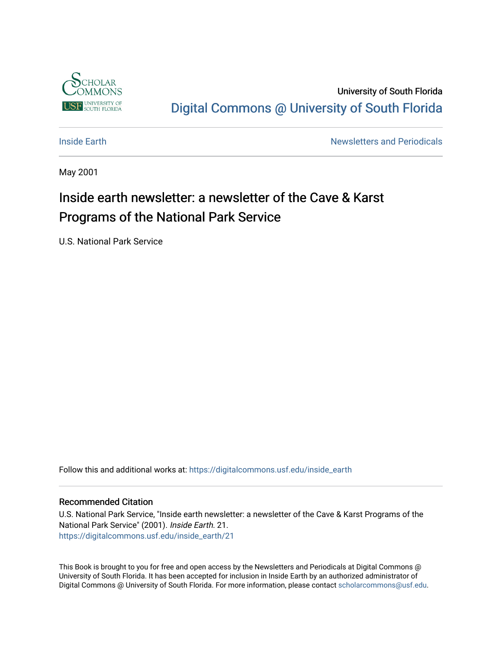

University of South Florida [Digital Commons @ University of South Florida](https://digitalcommons.usf.edu/) 

**[Inside Earth](https://digitalcommons.usf.edu/inside_earth) Inside Earth Newsletters and Periodicals** 

May 2001

# Inside earth newsletter: a newsletter of the Cave & Karst Programs of the National Park Service

U.S. National Park Service

Follow this and additional works at: [https://digitalcommons.usf.edu/inside\\_earth](https://digitalcommons.usf.edu/inside_earth?utm_source=digitalcommons.usf.edu%2Finside_earth%2F21&utm_medium=PDF&utm_campaign=PDFCoverPages)

#### Recommended Citation

U.S. National Park Service, "Inside earth newsletter: a newsletter of the Cave & Karst Programs of the National Park Service" (2001). Inside Earth. 21. [https://digitalcommons.usf.edu/inside\\_earth/21](https://digitalcommons.usf.edu/inside_earth/21?utm_source=digitalcommons.usf.edu%2Finside_earth%2F21&utm_medium=PDF&utm_campaign=PDFCoverPages) 

This Book is brought to you for free and open access by the Newsletters and Periodicals at Digital Commons @ University of South Florida. It has been accepted for inclusion in Inside Earth by an authorized administrator of Digital Commons @ University of South Florida. For more information, please contact [scholarcommons@usf.edu.](mailto:scholarcommons@usf.edu)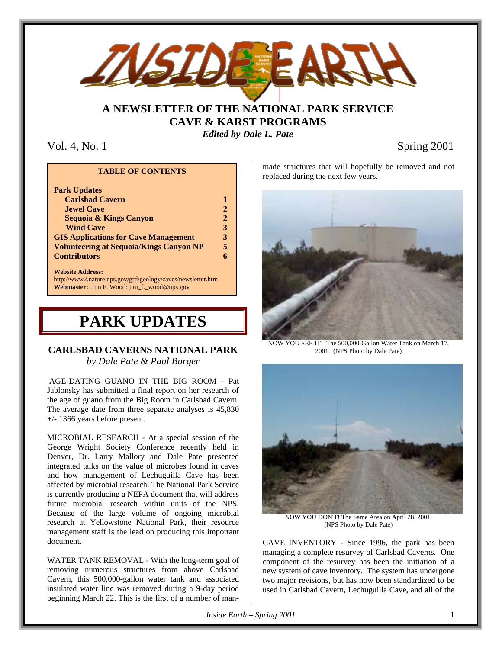

### **A NEWSLETTER OF THE NATIONAL PARK SERVICE CAVE & KARST PROGRAMS** *Edited by Dale L. Pate*

Vol. 4, No. 1 Spring 2001

#### **TABLE OF CONTENTS**

| <b>Park Updates</b>                            |    |
|------------------------------------------------|----|
| <b>Carlsbad Cavern</b>                         |    |
| <b>Jewel Cave</b>                              |    |
| <b>Sequoia &amp; Kings Canyon</b>              | 2. |
| <b>Wind Cave</b>                               | 3  |
| <b>GIS Applications for Cave Management</b>    | ર  |
| <b>Volunteering at Sequoia/Kings Canyon NP</b> | 5  |
| <b>Contributors</b>                            |    |
|                                                |    |

#### **Website Address:**

http://www2.nature.nps.gov/grd/geology/caves/newsletter.htm **Webmaster:** Jim F. Wood: jim\_f.\_wood@nps.gov

# **PARK UPDATES**

### **CARLSBAD CAVERNS NATIONAL PARK** *by Dale Pate & Paul Burger*

 AGE-DATING GUANO IN THE BIG ROOM - Pat Jablonsky has submitted a final report on her research of the age of guano from the Big Room in Carlsbad Cavern. The average date from three separate analyses is 45,830 +/- 1366 years before present.

MICROBIAL RESEARCH - At a special session of the George Wright Society Conference recently held in Denver, Dr. Larry Mallory and Dale Pate presented integrated talks on the value of microbes found in caves and how management of Lechuguilla Cave has been affected by microbial research. The National Park Service is currently producing a NEPA document that will address future microbial research within units of the NPS. Because of the large volume of ongoing microbial research at Yellowstone National Park, their resource management staff is the lead on producing this important document.

WATER TANK REMOVAL - With the long-term goal of removing numerous structures from above Carlsbad Cavern, this 500,000-gallon water tank and associated insulated water line was removed during a 9-day period beginning March 22. This is the first of a number of manmade structures that will hopefully be removed and not replaced during the next few years.



NOW YOU SEE IT! The 500,000-Gallon Water Tank on March 17, 2001. (NPS Photo by Dale Pate)



NOW YOU DON'T! The Same Area on April 28, 2001. (NPS Photo by Dale Pate)

CAVE INVENTORY - Since 1996, the park has been managing a complete resurvey of Carlsbad Caverns. One component of the resurvey has been the initiation of a new system of cave inventory. The system has undergone two major revisions, but has now been standardized to be used in Carlsbad Cavern, Lechuguilla Cave, and all of the

*Inside Earth – Spring 2001* 1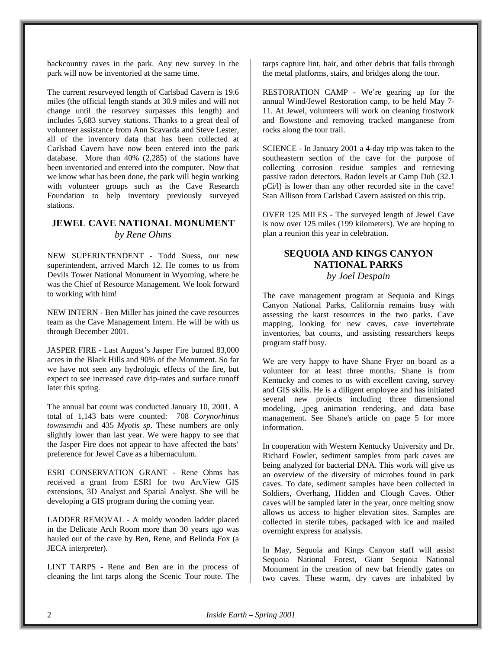backcountry caves in the park. Any new survey in the park will now be inventoried at the same time.

The current resurveyed length of Carlsbad Cavern is 19.6 miles (the official length stands at 30.9 miles and will not change until the resurvey surpasses this length) and includes 5,683 survey stations. Thanks to a great deal of volunteer assistance from Ann Scavarda and Steve Lester, all of the inventory data that has been collected at Carlsbad Cavern have now been entered into the park database. More than 40% (2,285) of the stations have been inventoried and entered into the computer. Now that we know what has been done, the park will begin working with volunteer groups such as the Cave Research Foundation to help inventory previously surveyed stations.

### **JEWEL CAVE NATIONAL MONUMENT** *by Rene Ohms*

NEW SUPERINTENDENT - Todd Suess, our new superintendent, arrived March 12. He comes to us from Devils Tower National Monument in Wyoming, where he was the Chief of Resource Management. We look forward to working with him!

NEW INTERN - Ben Miller has joined the cave resources team as the Cave Management Intern. He will be with us through December 2001.

JASPER FIRE - Last August's Jasper Fire burned 83,000 acres in the Black Hills and 90% of the Monument. So far we have not seen any hydrologic effects of the fire, but expect to see increased cave drip-rates and surface runoff later this spring.

The annual bat count was conducted January 10, 2001. A total of 1,143 bats were counted: 708 *Corynorhinus townsendii* and 435 *Myotis sp*. These numbers are only slightly lower than last year. We were happy to see that the Jasper Fire does not appear to have affected the bats' preference for Jewel Cave as a hibernaculum.

ESRI CONSERVATION GRANT - Rene Ohms has received a grant from ESRI for two ArcView GIS extensions, 3D Analyst and Spatial Analyst. She will be developing a GIS program during the coming year.

LADDER REMOVAL - A moldy wooden ladder placed in the Delicate Arch Room more than 30 years ago was hauled out of the cave by Ben, Rene, and Belinda Fox (a JECA interpreter).

LINT TARPS - Rene and Ben are in the process of cleaning the lint tarps along the Scenic Tour route. The

tarps capture lint, hair, and other debris that falls through the metal platforms, stairs, and bridges along the tour.

RESTORATION CAMP - We're gearing up for the annual Wind/Jewel Restoration camp, to be held May 7- 11. At Jewel, volunteers will work on cleaning frostwork and flowstone and removing tracked manganese from rocks along the tour trail.

SCIENCE - In January 2001 a 4-day trip was taken to the southeastern section of the cave for the purpose of collecting corrosion residue samples and retrieving passive radon detectors. Radon levels at Camp Duh (32.1 pCi/l) is lower than any other recorded site in the cave! Stan Allison from Carlsbad Cavern assisted on this trip.

OVER 125 MILES - The surveyed length of Jewel Cave is now over 125 miles (199 kilometers). We are hoping to plan a reunion this year in celebration.

#### **SEQUOIA AND KINGS CANYON NATIONAL PARKS** *by Joel Despain*

The cave management program at Sequoia and Kings Canyon National Parks, California remains busy with assessing the karst resources in the two parks. Cave mapping, looking for new caves, cave invertebrate inventories, bat counts, and assisting researchers keeps program staff busy.

We are very happy to have Shane Fryer on board as a volunteer for at least three months. Shane is from Kentucky and comes to us with excellent caving, survey and GIS skills. He is a diligent employee and has initiated several new projects including three dimensional modeling, .jpeg animation rendering, and data base management. See Shane's article on page 5 for more information.

In cooperation with Western Kentucky University and Dr. Richard Fowler, sediment samples from park caves are being analyzed for bacterial DNA. This work will give us an overview of the diversity of microbes found in park caves. To date, sediment samples have been collected in Soldiers, Overhang, Hidden and Clough Caves. Other caves will be sampled later in the year, once melting snow allows us access to higher elevation sites. Samples are collected in sterile tubes, packaged with ice and mailed overnight express for analysis.

In May, Sequoia and Kings Canyon staff will assist Sequoia National Forest, Giant Sequoia National Monument in the creation of new bat friendly gates on two caves. These warm, dry caves are inhabited by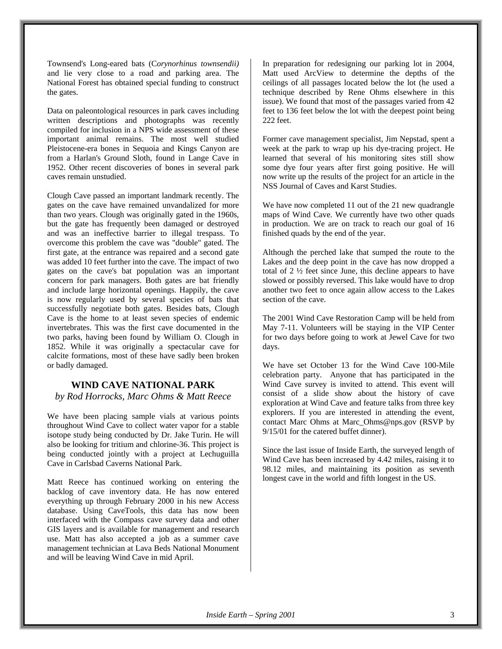Townsend's Long-eared bats (C*orynorhinus townsendii)* and lie very close to a road and parking area. The National Forest has obtained special funding to construct the gates.

Data on paleontological resources in park caves including written descriptions and photographs was recently compiled for inclusion in a NPS wide assessment of these important animal remains. The most well studied Pleistocene-era bones in Sequoia and Kings Canyon are from a Harlan's Ground Sloth, found in Lange Cave in 1952. Other recent discoveries of bones in several park caves remain unstudied.

Clough Cave passed an important landmark recently. The gates on the cave have remained unvandalized for more than two years. Clough was originally gated in the 1960s, but the gate has frequently been damaged or destroyed and was an ineffective barrier to illegal trespass. To overcome this problem the cave was "double" gated. The first gate, at the entrance was repaired and a second gate was added 10 feet further into the cave. The impact of two gates on the cave's bat population was an important concern for park managers. Both gates are bat friendly and include large horizontal openings. Happily, the cave is now regularly used by several species of bats that successfully negotiate both gates. Besides bats, Clough Cave is the home to at least seven species of endemic invertebrates. This was the first cave documented in the two parks, having been found by William O. Clough in 1852. While it was originally a spectacular cave for calcite formations, most of these have sadly been broken or badly damaged.

#### **WIND CAVE NATIONAL PARK**

*by Rod Horrocks, Marc Ohms & Matt Reece*

We have been placing sample vials at various points throughout Wind Cave to collect water vapor for a stable isotope study being conducted by Dr. Jake Turin. He will also be looking for tritium and chlorine-36. This project is being conducted jointly with a project at Lechuguilla Cave in Carlsbad Caverns National Park.

Matt Reece has continued working on entering the backlog of cave inventory data. He has now entered everything up through February 2000 in his new Access database. Using CaveTools, this data has now been interfaced with the Compass cave survey data and other GIS layers and is available for management and research use. Matt has also accepted a job as a summer cave management technician at Lava Beds National Monument and will be leaving Wind Cave in mid April.

In preparation for redesigning our parking lot in 2004, Matt used ArcView to determine the depths of the ceilings of all passages located below the lot (he used a technique described by Rene Ohms elsewhere in this issue). We found that most of the passages varied from 42 feet to 136 feet below the lot with the deepest point being 222 feet.

Former cave management specialist, Jim Nepstad, spent a week at the park to wrap up his dye-tracing project. He learned that several of his monitoring sites still show some dye four years after first going positive. He will now write up the results of the project for an article in the NSS Journal of Caves and Karst Studies.

We have now completed 11 out of the 21 new quadrangle maps of Wind Cave. We currently have two other quads in production. We are on track to reach our goal of 16 finished quads by the end of the year.

Although the perched lake that sumped the route to the Lakes and the deep point in the cave has now dropped a total of 2 ½ feet since June, this decline appears to have slowed or possibly reversed. This lake would have to drop another two feet to once again allow access to the Lakes section of the cave.

The 2001 Wind Cave Restoration Camp will be held from May 7-11. Volunteers will be staying in the VIP Center for two days before going to work at Jewel Cave for two days.

We have set October 13 for the Wind Cave 100-Mile celebration party. Anyone that has participated in the Wind Cave survey is invited to attend. This event will consist of a slide show about the history of cave exploration at Wind Cave and feature talks from three key explorers. If you are interested in attending the event, contact Marc Ohms at Marc\_Ohms@nps.gov (RSVP by 9/15/01 for the catered buffet dinner).

Since the last issue of Inside Earth, the surveyed length of Wind Cave has been increased by 4.42 miles, raising it to 98.12 miles, and maintaining its position as seventh longest cave in the world and fifth longest in the US.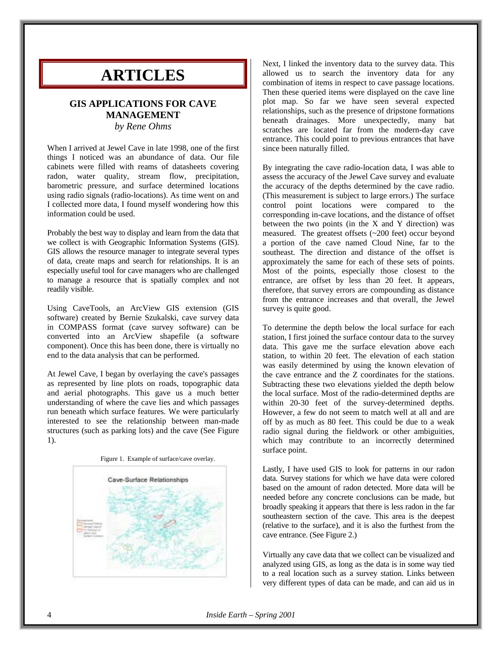## **ARTICLES**

#### **GIS APPLICATIONS FOR CAVE MANAGEMENT** *by Rene Ohms*

When I arrived at Jewel Cave in late 1998, one of the first things I noticed was an abundance of data. Our file cabinets were filled with reams of datasheets covering radon, water quality, stream flow, precipitation, barometric pressure, and surface determined locations using radio signals (radio-locations). As time went on and I collected more data, I found myself wondering how this information could be used.

Probably the best way to display and learn from the data that we collect is with Geographic Information Systems (GIS). GIS allows the resource manager to integrate several types of data, create maps and search for relationships. It is an especially useful tool for cave managers who are challenged to manage a resource that is spatially complex and not readily visible.

Using CaveTools, an ArcView GIS extension (GIS software) created by Bernie Szukalski, cave survey data in COMPASS format (cave survey software) can be converted into an ArcView shapefile (a software component). Once this has been done, there is virtually no end to the data analysis that can be performed.

At Jewel Cave, I began by overlaying the cave's passages as represented by line plots on roads, topographic data and aerial photographs. This gave us a much better understanding of where the cave lies and which passages run beneath which surface features. We were particularly interested to see the relationship between man-made structures (such as parking lots) and the cave (See Figure 1).





Next, I linked the inventory data to the survey data. This allowed us to search the inventory data for any combination of items in respect to cave passage locations. Then these queried items were displayed on the cave line plot map. So far we have seen several expected relationships, such as the presence of dripstone formations beneath drainages. More unexpectedly, many bat scratches are located far from the modern-day cave entrance. This could point to previous entrances that have since been naturally filled.

By integrating the cave radio-location data, I was able to assess the accuracy of the Jewel Cave survey and evaluate the accuracy of the depths determined by the cave radio. (This measurement is subject to large errors.) The surface control point locations were compared to the corresponding in-cave locations, and the distance of offset between the two points (in the X and Y direction) was measured. The greatest offsets (~200 feet) occur beyond a portion of the cave named Cloud Nine, far to the southeast. The direction and distance of the offset is approximately the same for each of these sets of points. Most of the points, especially those closest to the entrance, are offset by less than 20 feet. It appears, therefore, that survey errors are compounding as distance from the entrance increases and that overall, the Jewel survey is quite good.

To determine the depth below the local surface for each station, I first joined the surface contour data to the survey data. This gave me the surface elevation above each station, to within 20 feet. The elevation of each station was easily determined by using the known elevation of the cave entrance and the Z coordinates for the stations. Subtracting these two elevations yielded the depth below the local surface. Most of the radio-determined depths are within 20-30 feet of the survey-determined depths. However, a few do not seem to match well at all and are off by as much as 80 feet. This could be due to a weak radio signal during the fieldwork or other ambiguities, which may contribute to an incorrectly determined surface point.

Lastly, I have used GIS to look for patterns in our radon data. Survey stations for which we have data were colored based on the amount of radon detected. More data will be needed before any concrete conclusions can be made, but broadly speaking it appears that there is less radon in the far southeastern section of the cave. This area is the deepest (relative to the surface), and it is also the furthest from the cave entrance. (See Figure 2.)

Virtually any cave data that we collect can be visualized and analyzed using GIS, as long as the data is in some way tied to a real location such as a survey station. Links between very different types of data can be made, and can aid us in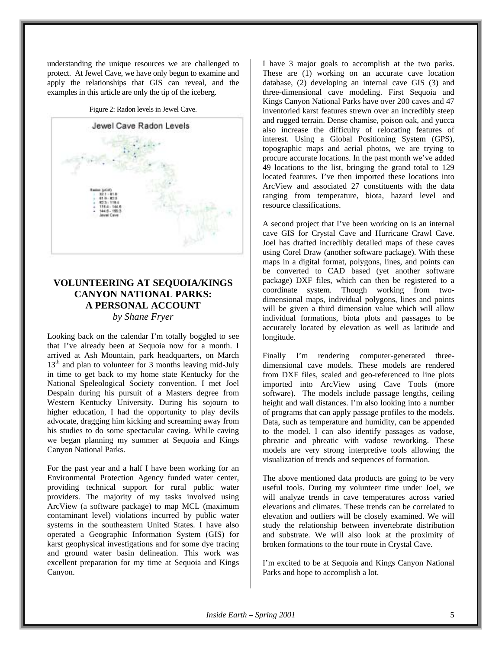understanding the unique resources we are challenged to protect. At Jewel Cave, we have only begun to examine and apply the relationships that GIS can reveal, and the examples in this article are only the tip of the iceberg.

Figure 2: Radon levels in Jewel Cave.



### **VOLUNTEERING AT SEQUOIA/KINGS CANYON NATIONAL PARKS: A PERSONAL ACCOUNT**

#### *by Shane Fryer*

Looking back on the calendar I'm totally boggled to see that I've already been at Sequoia now for a month. I arrived at Ash Mountain, park headquarters, on March 13<sup>th</sup> and plan to volunteer for 3 months leaving mid-July in time to get back to my home state Kentucky for the National Speleological Society convention. I met Joel Despain during his pursuit of a Masters degree from Western Kentucky University. During his sojourn to higher education, I had the opportunity to play devils advocate, dragging him kicking and screaming away from his studies to do some spectacular caving. While caving we began planning my summer at Sequoia and Kings Canyon National Parks.

For the past year and a half I have been working for an Environmental Protection Agency funded water center, providing technical support for rural public water providers. The majority of my tasks involved using ArcView (a software package) to map MCL (maximum contaminant level) violations incurred by public water systems in the southeastern United States. I have also operated a Geographic Information System (GIS) for karst geophysical investigations and for some dye tracing and ground water basin delineation. This work was excellent preparation for my time at Sequoia and Kings Canyon.

I have 3 major goals to accomplish at the two parks. These are (1) working on an accurate cave location database, (2) developing an internal cave GIS (3) and three-dimensional cave modeling. First Sequoia and Kings Canyon National Parks have over 200 caves and 47 inventoried karst features strewn over an incredibly steep and rugged terrain. Dense chamise, poison oak, and yucca also increase the difficulty of relocating features of interest. Using a Global Positioning System (GPS), topographic maps and aerial photos, we are trying to procure accurate locations. In the past month we've added 49 locations to the list, bringing the grand total to 129 located features. I've then imported these locations into ArcView and associated 27 constituents with the data ranging from temperature, biota, hazard level and resource classifications.

A second project that I've been working on is an internal cave GIS for Crystal Cave and Hurricane Crawl Cave. Joel has drafted incredibly detailed maps of these caves using Corel Draw (another software package). With these maps in a digital format, polygons, lines, and points can be converted to CAD based (yet another software package) DXF files, which can then be registered to a coordinate system. Though working from twodimensional maps, individual polygons, lines and points will be given a third dimension value which will allow individual formations, biota plots and passages to be accurately located by elevation as well as latitude and longitude.

Finally I'm rendering computer-generated threedimensional cave models. These models are rendered from DXF files, scaled and geo-referenced to line plots imported into ArcView using Cave Tools (more software). The models include passage lengths, ceiling height and wall distances. I'm also looking into a number of programs that can apply passage profiles to the models. Data, such as temperature and humidity, can be appended to the model. I can also identify passages as vadose, phreatic and phreatic with vadose reworking. These models are very strong interpretive tools allowing the visualization of trends and sequences of formation.

The above mentioned data products are going to be very useful tools. During my volunteer time under Joel, we will analyze trends in cave temperatures across varied elevations and climates. These trends can be correlated to elevation and outliers will be closely examined. We will study the relationship between invertebrate distribution and substrate. We will also look at the proximity of broken formations to the tour route in Crystal Cave.

I'm excited to be at Sequoia and Kings Canyon National Parks and hope to accomplish a lot.